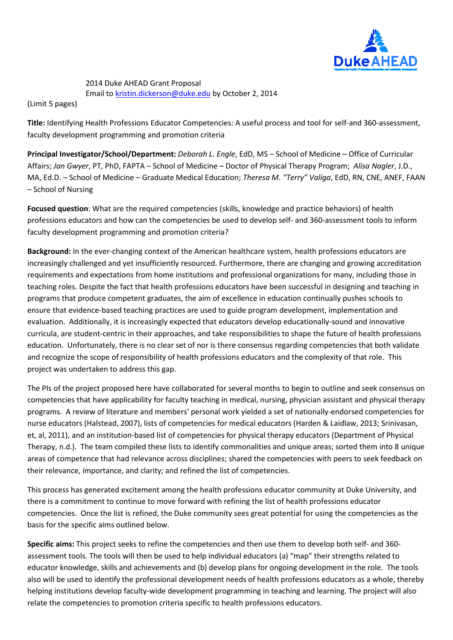

# 2014 Duke AHEAD Grant Proposal Email t[o kristin.dickerson@duke.edu](mailto:kristin.dickerson@duke.edu) by October 2, 2014

(Limit 5 pages)

**Title:** Identifying Health Professions Educator Competencies: A useful process and tool for self-and 360-assessment, faculty development programming and promotion criteria

**Principal Investigator/School/Department:** *Deborah L. Engle*, EdD, MS – School of Medicine – Office of Curricular Affairs; *Jan Gwyer*, PT, PhD, FAPTA – School of Medicine – Doctor of Physical Therapy Program; *Alisa Nagler*, J.D., MA, Ed.D. – School of Medicine – Graduate Medical Education; *Theresa M. "Terry" Valiga*, EdD, RN, CNE, ANEF, FAAN – School of Nursing

**Focused question**: What are the required competencies (skills, knowledge and practice behaviors) of health professions educators and how can the competencies be used to develop self- and 360-assessment tools to inform faculty development programming and promotion criteria?

**Background:** In the ever-changing context of the American healthcare system, health professions educators are increasingly challenged and yet insufficiently resourced. Furthermore, there are changing and growing accreditation requirements and expectations from home institutions and professional organizations for many, including those in teaching roles. Despite the fact that health professions educators have been successful in designing and teaching in programs that produce competent graduates, the aim of excellence in education continually pushes schools to ensure that evidence-based teaching practices are used to guide program development, implementation and evaluation. Additionally, it is increasingly expected that educators develop educationally-sound and innovative curricula, are student-centric in their approaches, and take responsibilities to shape the future of health professions education. Unfortunately, there is no clear set of nor is there consensus regarding competencies that both validate and recognize the scope of responsibility of health professions educators and the complexity of that role. This project was undertaken to address this gap.

The PIs of the project proposed here have collaborated for several months to begin to outline and seek consensus on competencies that have applicability for faculty teaching in medical, nursing, physician assistant and physical therapy programs. A review of literature and members' personal work yielded a set of nationally-endorsed competencies for nurse educators (Halstead, 2007), lists of competencies for medical educators (Harden & Laidlaw, 2013; Srinivasan, et, al, 2011), and an institution-based list of competencies for physical therapy educators (Department of Physical Therapy, n.d.). The team compiled these lists to identify commonalities and unique areas; sorted them into 8 unique areas of competence that had relevance across disciplines; shared the competencies with peers to seek feedback on their relevance, importance, and clarity; and refined the list of competencies.

This process has generated excitement among the health professions educator community at Duke University, and there is a commitment to continue to move forward with refining the list of health professions educator competencies. Once the list is refined, the Duke community sees great potential for using the competencies as the basis for the specific aims outlined below.

**Specific aims:** This project seeks to refine the competencies and then use them to develop both self- and 360 assessment tools. The tools will then be used to help individual educators (a) "map" their strengths related to educator knowledge, skills and achievements and (b) develop plans for ongoing development in the role. The tools also will be used to identify the professional development needs of health professions educators as a whole, thereby helping institutions develop faculty-wide development programming in teaching and learning. The project will also relate the competencies to promotion criteria specific to health professions educators.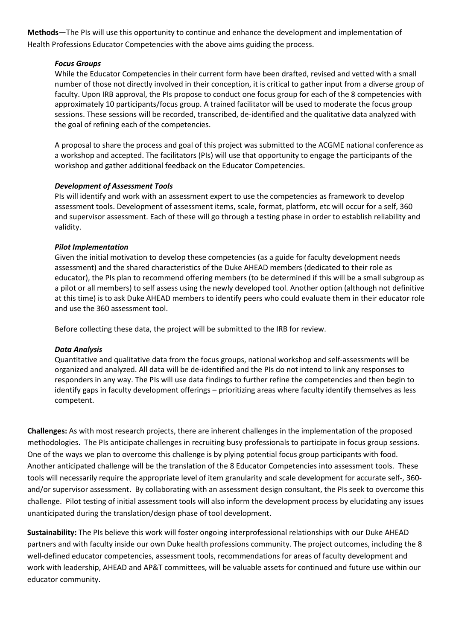**Methods**—The PIs will use this opportunity to continue and enhance the development and implementation of Health Professions Educator Competencies with the above aims guiding the process.

## *Focus Groups*

While the Educator Competencies in their current form have been drafted, revised and vetted with a small number of those not directly involved in their conception, it is critical to gather input from a diverse group of faculty. Upon IRB approval, the PIs propose to conduct one focus group for each of the 8 competencies with approximately 10 participants/focus group. A trained facilitator will be used to moderate the focus group sessions. These sessions will be recorded, transcribed, de-identified and the qualitative data analyzed with the goal of refining each of the competencies.

A proposal to share the process and goal of this project was submitted to the ACGME national conference as a workshop and accepted. The facilitators (PIs) will use that opportunity to engage the participants of the workshop and gather additional feedback on the Educator Competencies.

## *Development of Assessment Tools*

PIs will identify and work with an assessment expert to use the competencies as framework to develop assessment tools. Development of assessment items, scale, format, platform, etc will occur for a self, 360 and supervisor assessment. Each of these will go through a testing phase in order to establish reliability and validity.

## *Pilot Implementation*

Given the initial motivation to develop these competencies (as a guide for faculty development needs assessment) and the shared characteristics of the Duke AHEAD members (dedicated to their role as educator), the PIs plan to recommend offering members (to be determined if this will be a small subgroup as a pilot or all members) to self assess using the newly developed tool. Another option (although not definitive at this time) is to ask Duke AHEAD members to identify peers who could evaluate them in their educator role and use the 360 assessment tool.

Before collecting these data, the project will be submitted to the IRB for review.

#### *Data Analysis*

Quantitative and qualitative data from the focus groups, national workshop and self-assessments will be organized and analyzed. All data will be de-identified and the PIs do not intend to link any responses to responders in any way. The PIs will use data findings to further refine the competencies and then begin to identify gaps in faculty development offerings – prioritizing areas where faculty identify themselves as less competent.

**Challenges:** As with most research projects, there are inherent challenges in the implementation of the proposed methodologies. The PIs anticipate challenges in recruiting busy professionals to participate in focus group sessions. One of the ways we plan to overcome this challenge is by plying potential focus group participants with food. Another anticipated challenge will be the translation of the 8 Educator Competencies into assessment tools. These tools will necessarily require the appropriate level of item granularity and scale development for accurate self-, 360 and/or supervisor assessment. By collaborating with an assessment design consultant, the PIs seek to overcome this challenge. Pilot testing of initial assessment tools will also inform the development process by elucidating any issues unanticipated during the translation/design phase of tool development.

**Sustainability:** The PIs believe this work will foster ongoing interprofessional relationships with our Duke AHEAD partners and with faculty inside our own Duke health professions community. The project outcomes, including the 8 well-defined educator competencies, assessment tools, recommendations for areas of faculty development and work with leadership, AHEAD and AP&T committees, will be valuable assets for continued and future use within our educator community.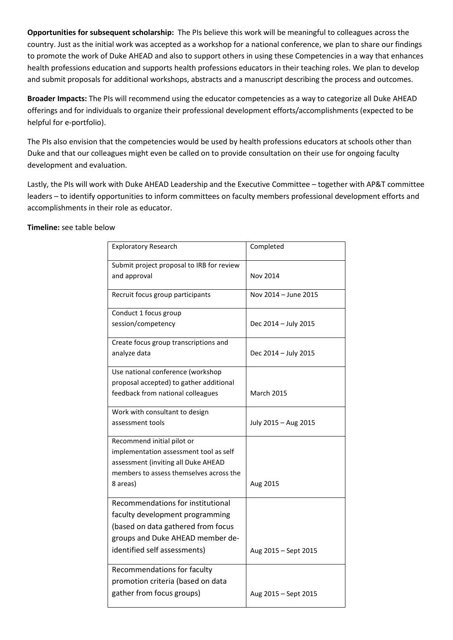**Opportunities for subsequent scholarship:** The PIs believe this work will be meaningful to colleagues across the country. Just as the initial work was accepted as a workshop for a national conference, we plan to share our findings to promote the work of Duke AHEAD and also to support others in using these Competencies in a way that enhances health professions education and supports health professions educators in their teaching roles. We plan to develop and submit proposals for additional workshops, abstracts and a manuscript describing the process and outcomes.

**Broader Impacts:** The PIs will recommend using the educator competencies as a way to categorize all Duke AHEAD offerings and for individuals to organize their professional development efforts/accomplishments (expected to be helpful for e-portfolio).

The PIs also envision that the competencies would be used by health professions educators at schools other than Duke and that our colleagues might even be called on to provide consultation on their use for ongoing faculty development and evaluation.

Lastly, the PIs will work with Duke AHEAD Leadership and the Executive Committee – together with AP&T committee leaders – to identify opportunities to inform committees on faculty members professional development efforts and accomplishments in their role as educator.

## **Timeline:** see table below

| <b>Exploratory Research</b>               | Completed            |
|-------------------------------------------|----------------------|
| Submit project proposal to IRB for review |                      |
| and approval                              | Nov 2014             |
| Recruit focus group participants          | Nov 2014 - June 2015 |
| Conduct 1 focus group                     |                      |
| session/competency                        | Dec 2014 - July 2015 |
| Create focus group transcriptions and     |                      |
| analyze data                              | Dec 2014 - July 2015 |
| Use national conference (workshop         |                      |
| proposal accepted) to gather additional   |                      |
| feedback from national colleagues         | <b>March 2015</b>    |
| Work with consultant to design            |                      |
| assessment tools                          | July 2015 - Aug 2015 |
| Recommend initial pilot or                |                      |
| implementation assessment tool as self    |                      |
| assessment (inviting all Duke AHEAD       |                      |
| members to assess themselves across the   |                      |
| 8 areas)                                  | Aug 2015             |
| Recommendations for institutional         |                      |
| faculty development programming           |                      |
| (based on data gathered from focus        |                      |
| groups and Duke AHEAD member de-          |                      |
| identified self assessments)              | Aug 2015 - Sept 2015 |
| Recommendations for faculty               |                      |
| promotion criteria (based on data         |                      |
| gather from focus groups)                 | Aug 2015 - Sept 2015 |
|                                           |                      |